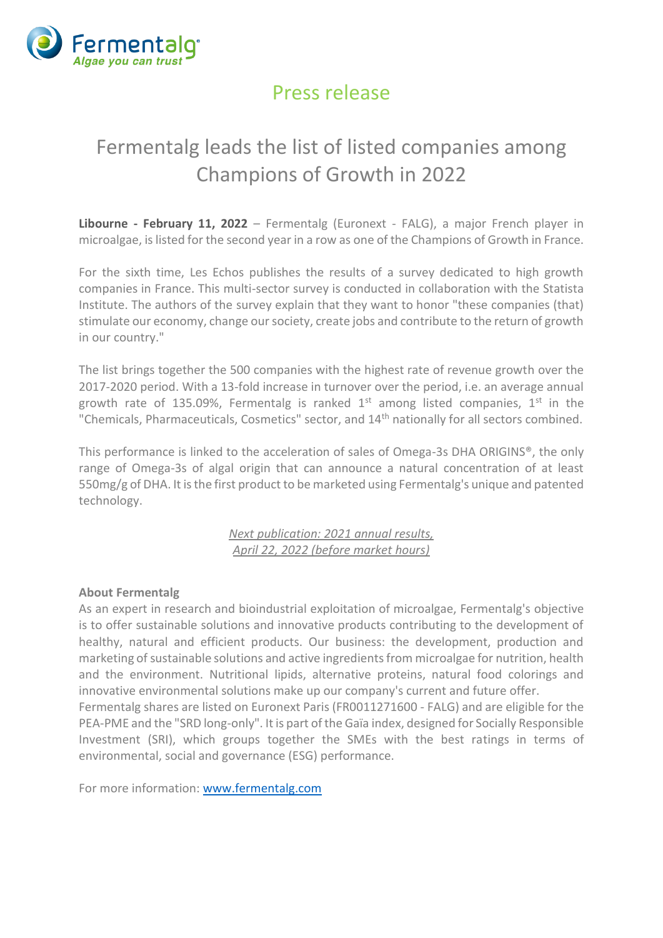

## Press release

## Fermentalg leads the list of listed companies among Champions of Growth in 2022

**Libourne - February 11, 2022** – Fermentalg (Euronext - FALG), a major French player in microalgae, is listed for the second year in a row as one of the Champions of Growth in France.

For the sixth time, Les Echos publishes the results of a survey dedicated to high growth companies in France. This multi-sector survey is conducted in collaboration with the Statista Institute. The authors of the survey explain that they want to honor "these companies (that) stimulate our economy, change our society, create jobs and contribute to the return of growth in our country."

The list brings together the 500 companies with the highest rate of revenue growth over the 2017-2020 period. With a 13-fold increase in turnover over the period, i.e. an average annual growth rate of 135.09%, Fermentalg is ranked  $1<sup>st</sup>$  among listed companies,  $1<sup>st</sup>$  in the "Chemicals, Pharmaceuticals, Cosmetics" sector, and 14th nationally for all sectors combined.

This performance is linked to the acceleration of sales of Omega-3s DHA ORIGINS®, the only range of Omega-3s of algal origin that can announce a natural concentration of at least 550mg/g of DHA. It is the first product to be marketed using Fermentalg's unique and patented technology.

> *Next publication: 2021 annual results, April 22, 2022 (before market hours)*

## **About Fermentalg**

As an expert in research and bioindustrial exploitation of microalgae, Fermentalg's objective is to offer sustainable solutions and innovative products contributing to the development of healthy, natural and efficient products. Our business: the development, production and marketing of sustainable solutions and active ingredients from microalgae for nutrition, health and the environment. Nutritional lipids, alternative proteins, natural food colorings and innovative environmental solutions make up our company's current and future offer.

Fermentalg shares are listed on Euronext Paris (FR0011271600 - FALG) and are eligible for the PEA-PME and the "SRD long-only". It is part of the Gaïa index, designed for Socially Responsible Investment (SRI), which groups together the SMEs with the best ratings in terms of environmental, social and governance (ESG) performance.

For more information: [www.fermentalg.com](https://www.fermentalg.com/)